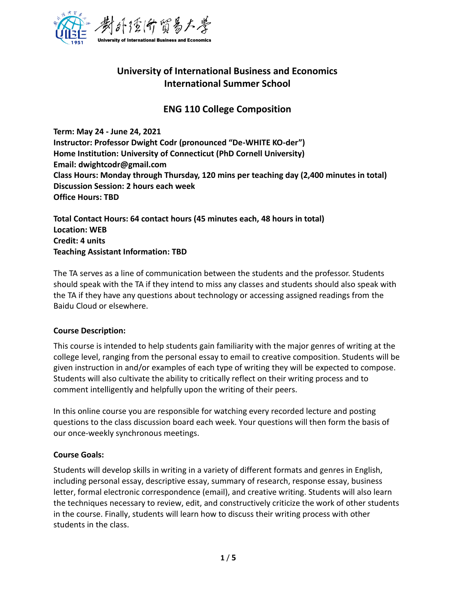

# **University of International Business and Economics International Summer School**

## **ENG 110 College Composition**

**Term: May 24 - June 24, 2021 Instructor: Professor Dwight Codr (pronounced "De-WHITE KO-der") Home Institution: University of Connecticut (PhD Cornell University) Email: dwightcodr@gmail.com Class Hours: Monday through Thursday, 120 mins per teaching day (2,400 minutes in total) Discussion Session: 2 hours each week Office Hours: TBD**

**Total Contact Hours: 64 contact hours (45 minutes each, 48 hours in total) Location: WEB Credit: 4 units Teaching Assistant Information: TBD**

The TA serves as a line of communication between the students and the professor. Students should speak with the TA if they intend to miss any classes and students should also speak with the TA if they have any questions about technology or accessing assigned readings from the Baidu Cloud or elsewhere.

#### **Course Description:**

This course is intended to help students gain familiarity with the major genres of writing at the college level, ranging from the personal essay to email to creative composition. Students will be given instruction in and/or examples of each type of writing they will be expected to compose. Students will also cultivate the ability to critically reflect on their writing process and to comment intelligently and helpfully upon the writing of their peers.

In this online course you are responsible for watching every recorded lecture and posting questions to the class discussion board each week. Your questions will then form the basis of our once-weekly synchronous meetings.

#### **Course Goals:**

Students will develop skills in writing in a variety of different formats and genres in English, including personal essay, descriptive essay, summary of research, response essay, business letter, formal electronic correspondence (email), and creative writing. Students will also learn the techniques necessary to review, edit, and constructively criticize the work of other students in the course. Finally, students will learn how to discuss their writing process with other students in the class.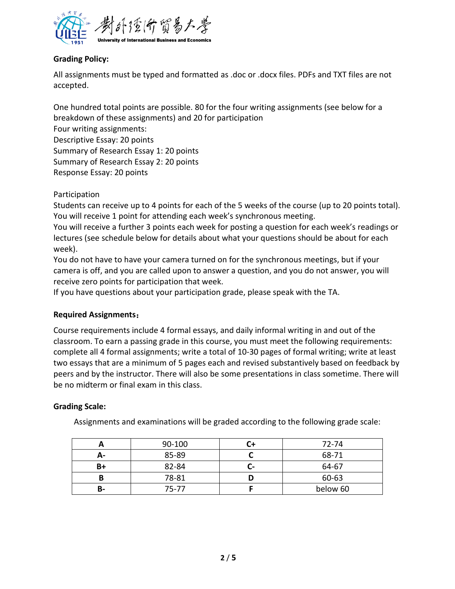

## **Grading Policy:**

All assignments must be typed and formatted as .doc or .docx files. PDFs and TXT files are not accepted.

One hundred total points are possible. 80 for the four writing assignments (see below for a breakdown of these assignments) and 20 for participation Four writing assignments: Descriptive Essay: 20 points Summary of Research Essay 1: 20 points Summary of Research Essay 2: 20 points Response Essay: 20 points

Participation

Students can receive up to 4 points for each of the 5 weeks of the course (up to 20 points total). You will receive 1 point for attending each week's synchronous meeting.

You will receive a further 3 points each week for posting a question for each week's readings or lectures (see schedule below for details about what your questions should be about for each week).

You do not have to have your camera turned on for the synchronous meetings, but if your camera is off, and you are called upon to answer a question, and you do not answer, you will receive zero points for participation that week.

If you have questions about your participation grade, please speak with the TA.

#### **Required Assignments**:

Course requirements include 4 formal essays, and daily informal writing in and out of the classroom. To earn a passing grade in this course, you must meet the following requirements: complete all 4 formal assignments; write a total of 10-30 pages of formal writing; write at least two essays that are a minimum of 5 pages each and revised substantively based on feedback by peers and by the instructor. There will also be some presentations in class sometime. There will be no midterm or final exam in this class.

#### **Grading Scale:**

Assignments and examinations will be graded according to the following grade scale:

|      | 90-100 |           | 72-74    |
|------|--------|-----------|----------|
| А-   | 85-89  |           | 68-71    |
| $B+$ | 82-84  | $\,$ $\,$ | 64-67    |
|      | 78-81  |           | 60-63    |
| В-   | 75-77  |           | below 60 |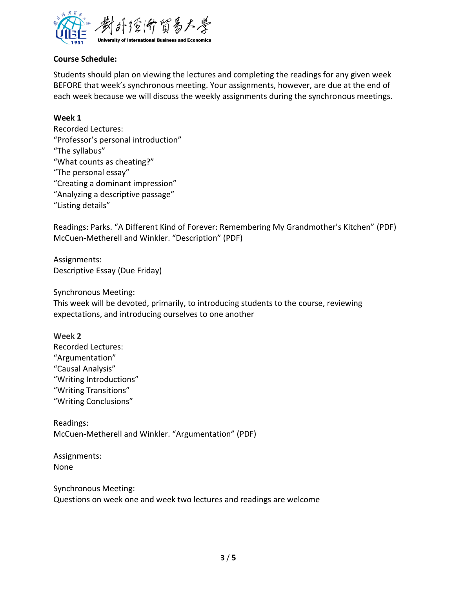

### **Course Schedule:**

Students should plan on viewing the lectures and completing the readings for any given week BEFORE that week's synchronous meeting. Your assignments, however, are due at the end of each week because we will discuss the weekly assignments during the synchronous meetings.

#### **Week 1**

Recorded Lectures: "Professor's personal introduction" "The syllabus" "What counts as cheating?" "The personal essay" "Creating a dominant impression" "Analyzing a descriptive passage" "Listing details"

Readings: Parks. "A Different Kind of Forever: Remembering My Grandmother's Kitchen" (PDF) McCuen-Metherell and Winkler. "Description" (PDF)

Assignments: Descriptive Essay (Due Friday)

Synchronous Meeting:

This week will be devoted, primarily, to introducing students to the course, reviewing expectations, and introducing ourselves to one another

#### **Week 2**

Recorded Lectures: "Argumentation" "Causal Analysis" "Writing Introductions" "Writing Transitions" "Writing Conclusions"

Readings: McCuen-Metherell and Winkler. "Argumentation" (PDF)

Assignments: None

Synchronous Meeting: Questions on week one and week two lectures and readings are welcome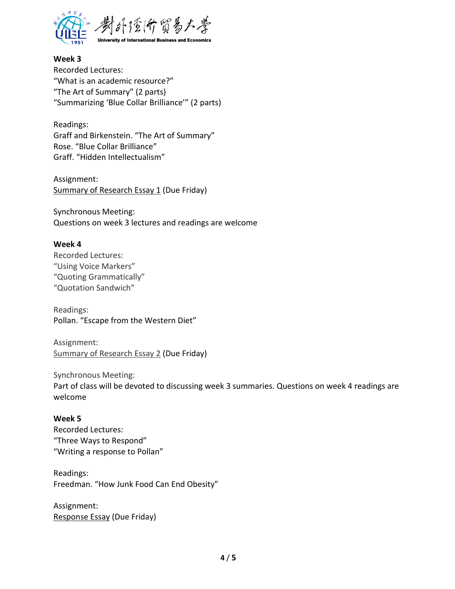

**Week 3** Recorded Lectures: "What is an academic resource?" "The Art of Summary" (2 parts) "Summarizing 'Blue Collar Brilliance'" (2 parts)

Readings: Graff and Birkenstein. "The Art of Summary" Rose. "Blue Collar Brilliance" Graff. "Hidden Intellectualism"

Assignment: Summary of Research Essay 1 (Due Friday)

Synchronous Meeting: Questions on week 3 lectures and readings are welcome

#### **Week 4**

Recorded Lectures: "Using Voice Markers" "Quoting Grammatically" "Quotation Sandwich"

Readings: Pollan. "Escape from the Western Diet"

Assignment: Summary of Research Essay 2 (Due Friday)

Synchronous Meeting:

Part of class will be devoted to discussing week 3 summaries. Questions on week 4 readings are welcome

#### **Week 5**

Recorded Lectures: "Three Ways to Respond" "Writing a response to Pollan"

Readings: Freedman. "How Junk Food Can End Obesity"

Assignment: Response Essay (Due Friday)